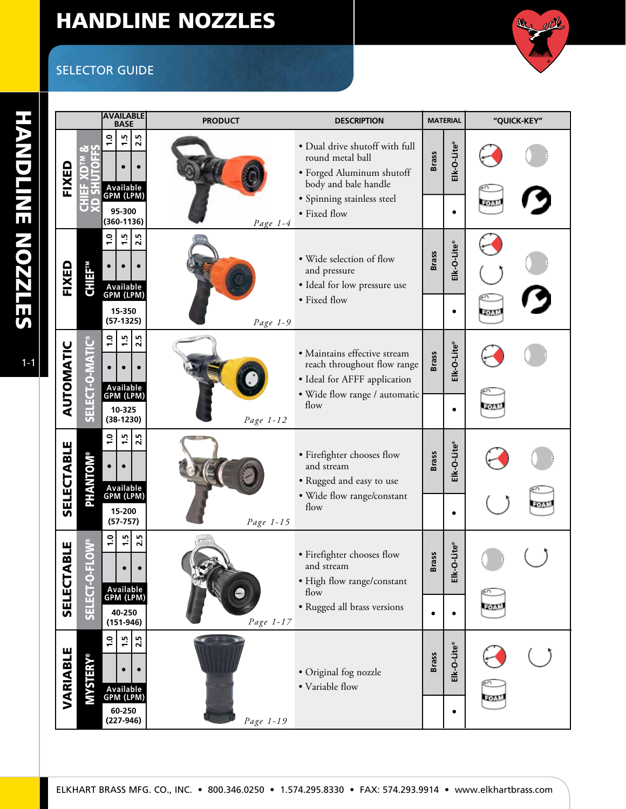## HANDLINE NOZZLES

## SELECTOR GUIDE



de cil

1-1